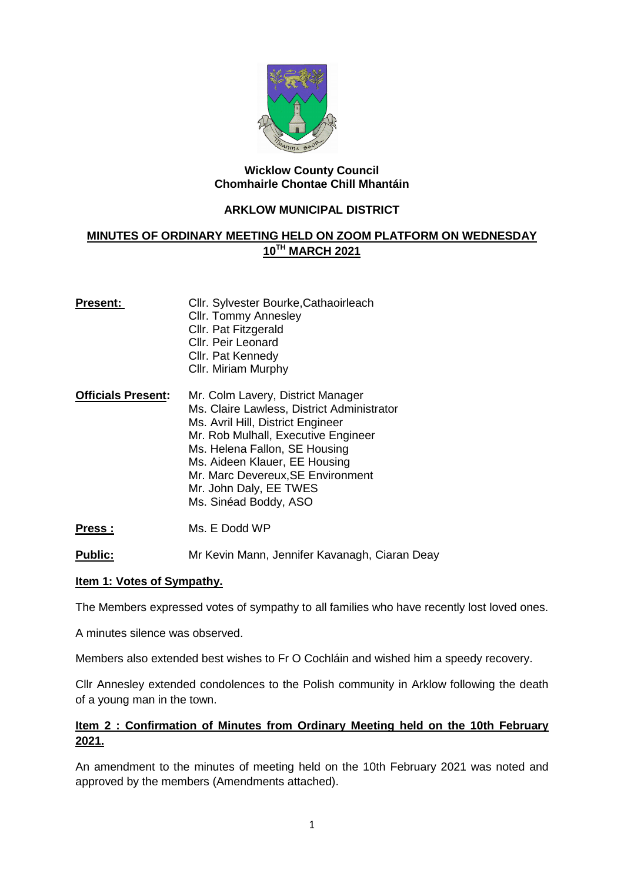

## **Wicklow County Council Chomhairle Chontae Chill Mhantáin**

## **ARKLOW MUNICIPAL DISTRICT**

# **MINUTES OF ORDINARY MEETING HELD ON ZOOM PLATFORM ON WEDNESDAY 10TH MARCH 2021**

| Present:                  | Cllr. Sylvester Bourke, Cathaoirleach                                            |
|---------------------------|----------------------------------------------------------------------------------|
|                           | <b>Cllr. Tommy Annesley</b>                                                      |
|                           | Cllr. Pat Fitzgerald                                                             |
|                           | Cllr. Peir Leonard                                                               |
|                           | Cllr. Pat Kennedy                                                                |
|                           | Cllr. Miriam Murphy                                                              |
| <b>Officials Present:</b> | Mr. Colm Lavery, District Manager<br>Ms. Claire Lawless, District Administrator  |
|                           | Ms. Avril Hill, District Engineer<br>Mar Dele Malle elle Esse es d'ans Escala en |

Mr. Rob Mulhall, Executive Engineer Ms. Helena Fallon, SE Housing

- Ms. Aideen Klauer, EE Housing Mr. Marc Devereux,SE Environment
	- Mr. John Daly, EE TWES

Ms. Sinéad Boddy, ASO

Press : Ms. E Dodd WP

Public: Mr Kevin Mann, Jennifer Kavanagh, Ciaran Deay

## **Item 1: Votes of Sympathy.**

The Members expressed votes of sympathy to all families who have recently lost loved ones.

A minutes silence was observed.

Members also extended best wishes to Fr O Cochláin and wished him a speedy recovery.

Cllr Annesley extended condolences to the Polish community in Arklow following the death of a young man in the town.

## **Item 2 : Confirmation of Minutes from Ordinary Meeting held on the 10th February 2021.**

An amendment to the minutes of meeting held on the 10th February 2021 was noted and approved by the members (Amendments attached).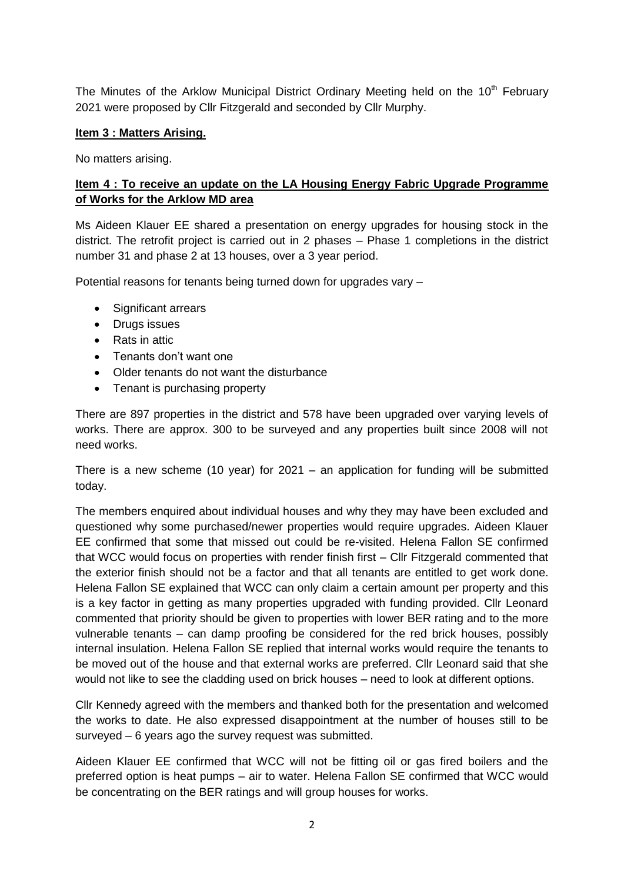The Minutes of the Arklow Municipal District Ordinary Meeting held on the 10<sup>th</sup> February 2021 were proposed by Cllr Fitzgerald and seconded by Cllr Murphy.

## **Item 3 : Matters Arising.**

No matters arising.

## **Item 4 : To receive an update on the LA Housing Energy Fabric Upgrade Programme of Works for the Arklow MD area**

Ms Aideen Klauer EE shared a presentation on energy upgrades for housing stock in the district. The retrofit project is carried out in 2 phases – Phase 1 completions in the district number 31 and phase 2 at 13 houses, over a 3 year period.

Potential reasons for tenants being turned down for upgrades vary -

- Significant arrears
- Drugs issues
- Rats in attic
- Tenants don't want one
- Older tenants do not want the disturbance
- Tenant is purchasing property

There are 897 properties in the district and 578 have been upgraded over varying levels of works. There are approx. 300 to be surveyed and any properties built since 2008 will not need works.

There is a new scheme (10 year) for  $2021 -$  an application for funding will be submitted today.

The members enquired about individual houses and why they may have been excluded and questioned why some purchased/newer properties would require upgrades. Aideen Klauer EE confirmed that some that missed out could be re-visited. Helena Fallon SE confirmed that WCC would focus on properties with render finish first – Cllr Fitzgerald commented that the exterior finish should not be a factor and that all tenants are entitled to get work done. Helena Fallon SE explained that WCC can only claim a certain amount per property and this is a key factor in getting as many properties upgraded with funding provided. Cllr Leonard commented that priority should be given to properties with lower BER rating and to the more vulnerable tenants – can damp proofing be considered for the red brick houses, possibly internal insulation. Helena Fallon SE replied that internal works would require the tenants to be moved out of the house and that external works are preferred. Cllr Leonard said that she would not like to see the cladding used on brick houses – need to look at different options.

Cllr Kennedy agreed with the members and thanked both for the presentation and welcomed the works to date. He also expressed disappointment at the number of houses still to be surveyed – 6 years ago the survey request was submitted.

Aideen Klauer EE confirmed that WCC will not be fitting oil or gas fired boilers and the preferred option is heat pumps – air to water. Helena Fallon SE confirmed that WCC would be concentrating on the BER ratings and will group houses for works.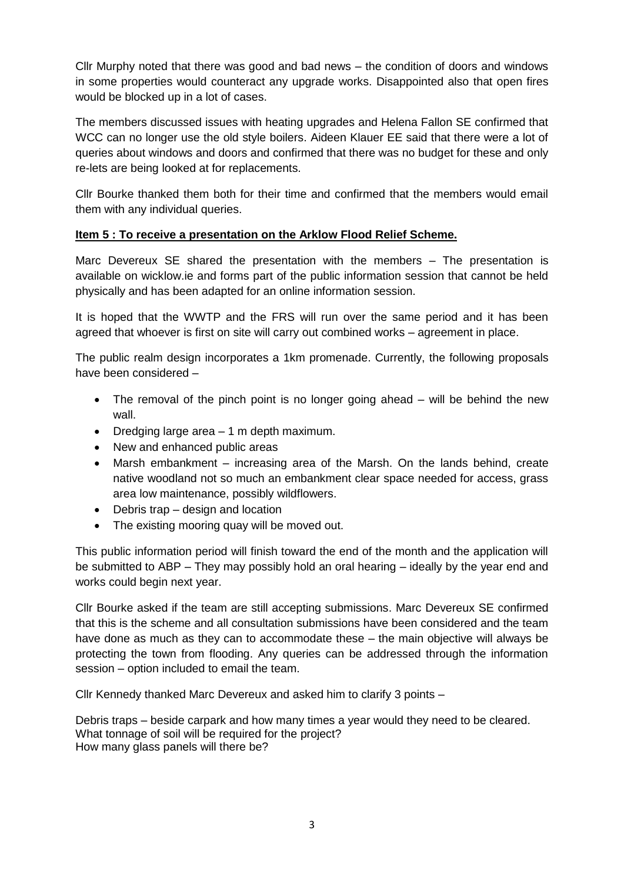Cllr Murphy noted that there was good and bad news – the condition of doors and windows in some properties would counteract any upgrade works. Disappointed also that open fires would be blocked up in a lot of cases.

The members discussed issues with heating upgrades and Helena Fallon SE confirmed that WCC can no longer use the old style boilers. Aideen Klauer EE said that there were a lot of queries about windows and doors and confirmed that there was no budget for these and only re-lets are being looked at for replacements.

Cllr Bourke thanked them both for their time and confirmed that the members would email them with any individual queries.

## **Item 5 : To receive a presentation on the Arklow Flood Relief Scheme.**

Marc Devereux SE shared the presentation with the members – The presentation is available on wicklow.ie and forms part of the public information session that cannot be held physically and has been adapted for an online information session.

It is hoped that the WWTP and the FRS will run over the same period and it has been agreed that whoever is first on site will carry out combined works – agreement in place.

The public realm design incorporates a 1km promenade. Currently, the following proposals have been considered –

- The removal of the pinch point is no longer going ahead will be behind the new wall.
- Dredging large area 1 m depth maximum.
- New and enhanced public areas
- Marsh embankment increasing area of the Marsh. On the lands behind, create native woodland not so much an embankment clear space needed for access, grass area low maintenance, possibly wildflowers.
- Debris trap design and location
- The existing mooring quay will be moved out.

This public information period will finish toward the end of the month and the application will be submitted to ABP – They may possibly hold an oral hearing – ideally by the year end and works could begin next year.

Cllr Bourke asked if the team are still accepting submissions. Marc Devereux SE confirmed that this is the scheme and all consultation submissions have been considered and the team have done as much as they can to accommodate these – the main objective will always be protecting the town from flooding. Any queries can be addressed through the information session – option included to email the team.

Cllr Kennedy thanked Marc Devereux and asked him to clarify 3 points –

Debris traps – beside carpark and how many times a year would they need to be cleared. What tonnage of soil will be required for the project? How many glass panels will there be?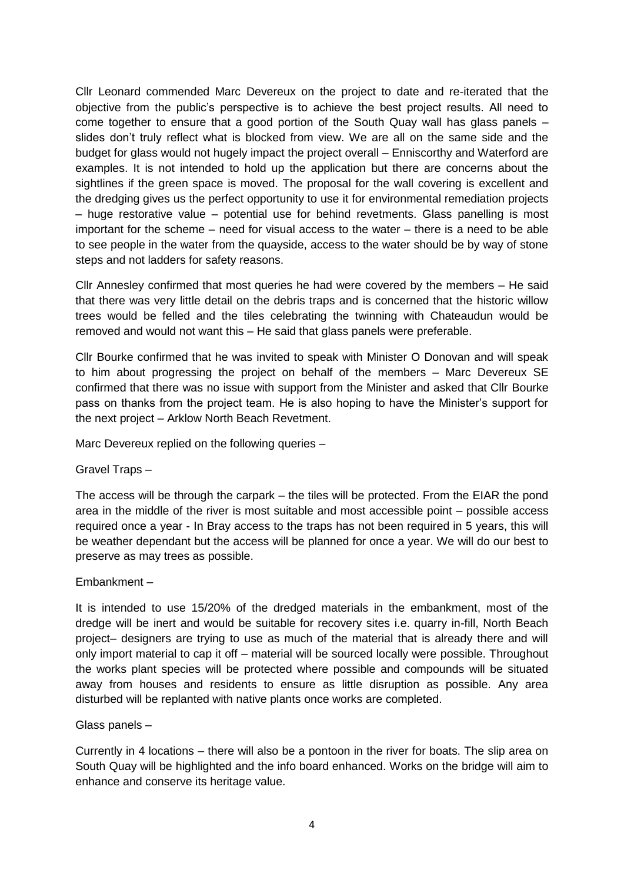Cllr Leonard commended Marc Devereux on the project to date and re-iterated that the objective from the public's perspective is to achieve the best project results. All need to come together to ensure that a good portion of the South Quay wall has glass panels – slides don't truly reflect what is blocked from view. We are all on the same side and the budget for glass would not hugely impact the project overall – Enniscorthy and Waterford are examples. It is not intended to hold up the application but there are concerns about the sightlines if the green space is moved. The proposal for the wall covering is excellent and the dredging gives us the perfect opportunity to use it for environmental remediation projects – huge restorative value – potential use for behind revetments. Glass panelling is most important for the scheme – need for visual access to the water – there is a need to be able to see people in the water from the quayside, access to the water should be by way of stone steps and not ladders for safety reasons.

Cllr Annesley confirmed that most queries he had were covered by the members – He said that there was very little detail on the debris traps and is concerned that the historic willow trees would be felled and the tiles celebrating the twinning with Chateaudun would be removed and would not want this – He said that glass panels were preferable.

Cllr Bourke confirmed that he was invited to speak with Minister O Donovan and will speak to him about progressing the project on behalf of the members – Marc Devereux SE confirmed that there was no issue with support from the Minister and asked that Cllr Bourke pass on thanks from the project team. He is also hoping to have the Minister's support for the next project – Arklow North Beach Revetment.

Marc Devereux replied on the following queries –

Gravel Traps –

The access will be through the carpark – the tiles will be protected. From the EIAR the pond area in the middle of the river is most suitable and most accessible point – possible access required once a year - In Bray access to the traps has not been required in 5 years, this will be weather dependant but the access will be planned for once a year. We will do our best to preserve as may trees as possible.

Embankment –

It is intended to use 15/20% of the dredged materials in the embankment, most of the dredge will be inert and would be suitable for recovery sites i.e. quarry in-fill, North Beach project– designers are trying to use as much of the material that is already there and will only import material to cap it off – material will be sourced locally were possible. Throughout the works plant species will be protected where possible and compounds will be situated away from houses and residents to ensure as little disruption as possible. Any area disturbed will be replanted with native plants once works are completed.

Glass panels –

Currently in 4 locations – there will also be a pontoon in the river for boats. The slip area on South Quay will be highlighted and the info board enhanced. Works on the bridge will aim to enhance and conserve its heritage value.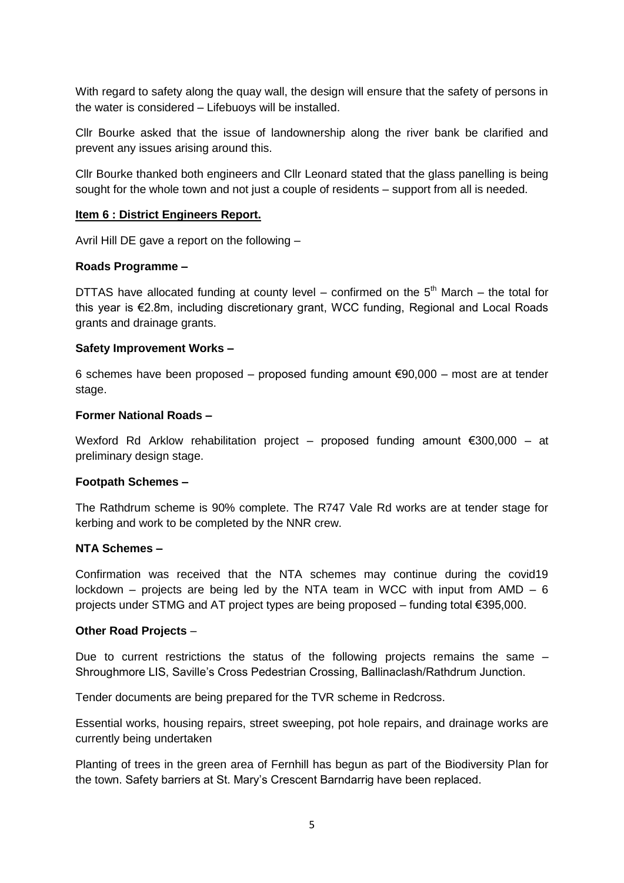With regard to safety along the quay wall, the design will ensure that the safety of persons in the water is considered – Lifebuoys will be installed.

Cllr Bourke asked that the issue of landownership along the river bank be clarified and prevent any issues arising around this.

Cllr Bourke thanked both engineers and Cllr Leonard stated that the glass panelling is being sought for the whole town and not just a couple of residents – support from all is needed.

#### **Item 6 : District Engineers Report.**

Avril Hill DE gave a report on the following –

#### **Roads Programme –**

DTTAS have allocated funding at county level – confirmed on the  $5<sup>th</sup>$  March – the total for this year is €2.8m, including discretionary grant, WCC funding, Regional and Local Roads grants and drainage grants.

#### **Safety Improvement Works –**

6 schemes have been proposed – proposed funding amount €90,000 – most are at tender stage.

#### **Former National Roads –**

Wexford Rd Arklow rehabilitation project – proposed funding amount €300,000 – at preliminary design stage.

## **Footpath Schemes –**

The Rathdrum scheme is 90% complete. The R747 Vale Rd works are at tender stage for kerbing and work to be completed by the NNR crew.

#### **NTA Schemes –**

Confirmation was received that the NTA schemes may continue during the covid19 lockdown – projects are being led by the NTA team in WCC with input from  $AMD - 6$ projects under STMG and AT project types are being proposed – funding total €395,000.

#### **Other Road Projects** –

Due to current restrictions the status of the following projects remains the same – Shroughmore LIS, Saville's Cross Pedestrian Crossing, Ballinaclash/Rathdrum Junction.

Tender documents are being prepared for the TVR scheme in Redcross.

Essential works, housing repairs, street sweeping, pot hole repairs, and drainage works are currently being undertaken

Planting of trees in the green area of Fernhill has begun as part of the Biodiversity Plan for the town. Safety barriers at St. Mary's Crescent Barndarrig have been replaced.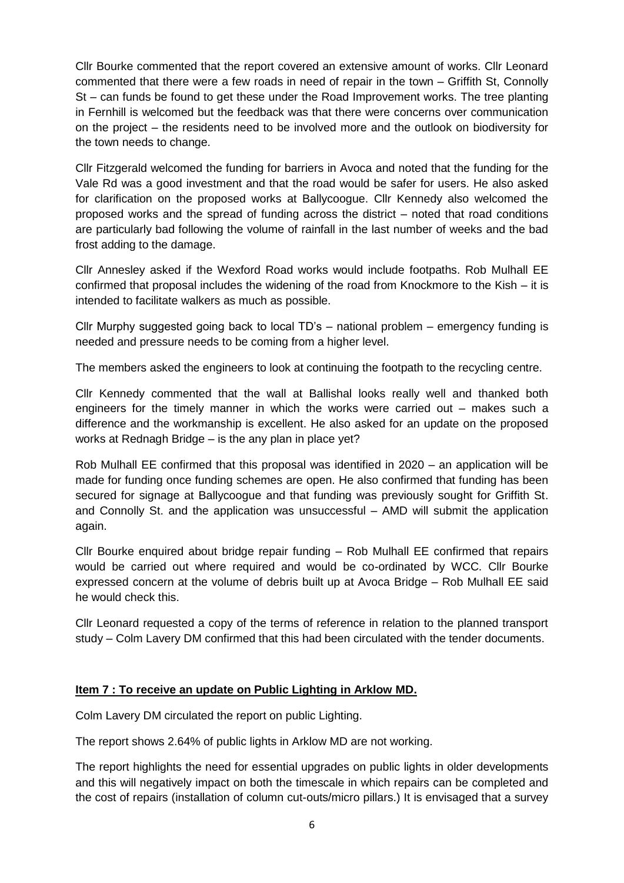Cllr Bourke commented that the report covered an extensive amount of works. Cllr Leonard commented that there were a few roads in need of repair in the town – Griffith St, Connolly St – can funds be found to get these under the Road Improvement works. The tree planting in Fernhill is welcomed but the feedback was that there were concerns over communication on the project – the residents need to be involved more and the outlook on biodiversity for the town needs to change.

Cllr Fitzgerald welcomed the funding for barriers in Avoca and noted that the funding for the Vale Rd was a good investment and that the road would be safer for users. He also asked for clarification on the proposed works at Ballycoogue. Cllr Kennedy also welcomed the proposed works and the spread of funding across the district – noted that road conditions are particularly bad following the volume of rainfall in the last number of weeks and the bad frost adding to the damage.

Cllr Annesley asked if the Wexford Road works would include footpaths. Rob Mulhall EE confirmed that proposal includes the widening of the road from Knockmore to the Kish – it is intended to facilitate walkers as much as possible.

Cllr Murphy suggested going back to local TD's – national problem – emergency funding is needed and pressure needs to be coming from a higher level.

The members asked the engineers to look at continuing the footpath to the recycling centre.

Cllr Kennedy commented that the wall at Ballishal looks really well and thanked both engineers for the timely manner in which the works were carried out – makes such a difference and the workmanship is excellent. He also asked for an update on the proposed works at Rednagh Bridge – is the any plan in place yet?

Rob Mulhall EE confirmed that this proposal was identified in 2020 – an application will be made for funding once funding schemes are open. He also confirmed that funding has been secured for signage at Ballycoogue and that funding was previously sought for Griffith St. and Connolly St. and the application was unsuccessful – AMD will submit the application again.

Cllr Bourke enquired about bridge repair funding – Rob Mulhall EE confirmed that repairs would be carried out where required and would be co-ordinated by WCC. Cllr Bourke expressed concern at the volume of debris built up at Avoca Bridge – Rob Mulhall EE said he would check this.

Cllr Leonard requested a copy of the terms of reference in relation to the planned transport study – Colm Lavery DM confirmed that this had been circulated with the tender documents.

## **Item 7 : To receive an update on Public Lighting in Arklow MD.**

Colm Lavery DM circulated the report on public Lighting.

The report shows 2.64% of public lights in Arklow MD are not working.

The report highlights the need for essential upgrades on public lights in older developments and this will negatively impact on both the timescale in which repairs can be completed and the cost of repairs (installation of column cut-outs/micro pillars.) It is envisaged that a survey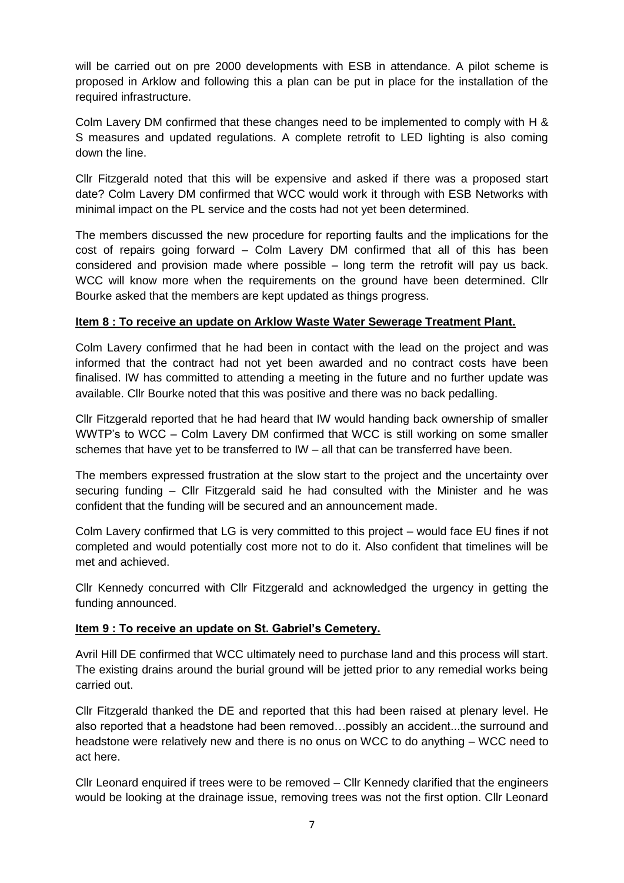will be carried out on pre 2000 developments with ESB in attendance. A pilot scheme is proposed in Arklow and following this a plan can be put in place for the installation of the required infrastructure.

Colm Lavery DM confirmed that these changes need to be implemented to comply with H & S measures and updated regulations. A complete retrofit to LED lighting is also coming down the line.

Cllr Fitzgerald noted that this will be expensive and asked if there was a proposed start date? Colm Lavery DM confirmed that WCC would work it through with ESB Networks with minimal impact on the PL service and the costs had not yet been determined.

The members discussed the new procedure for reporting faults and the implications for the cost of repairs going forward – Colm Lavery DM confirmed that all of this has been considered and provision made where possible – long term the retrofit will pay us back. WCC will know more when the requirements on the ground have been determined. Cllr Bourke asked that the members are kept updated as things progress.

## **Item 8 : To receive an update on Arklow Waste Water Sewerage Treatment Plant.**

Colm Lavery confirmed that he had been in contact with the lead on the project and was informed that the contract had not yet been awarded and no contract costs have been finalised. IW has committed to attending a meeting in the future and no further update was available. Cllr Bourke noted that this was positive and there was no back pedalling.

Cllr Fitzgerald reported that he had heard that IW would handing back ownership of smaller WWTP's to WCC – Colm Lavery DM confirmed that WCC is still working on some smaller schemes that have yet to be transferred to IW – all that can be transferred have been.

The members expressed frustration at the slow start to the project and the uncertainty over securing funding – Cllr Fitzgerald said he had consulted with the Minister and he was confident that the funding will be secured and an announcement made.

Colm Lavery confirmed that LG is very committed to this project – would face EU fines if not completed and would potentially cost more not to do it. Also confident that timelines will be met and achieved.

Cllr Kennedy concurred with Cllr Fitzgerald and acknowledged the urgency in getting the funding announced.

## **Item 9 : To receive an update on St. Gabriel's Cemetery.**

Avril Hill DE confirmed that WCC ultimately need to purchase land and this process will start. The existing drains around the burial ground will be jetted prior to any remedial works being carried out.

Cllr Fitzgerald thanked the DE and reported that this had been raised at plenary level. He also reported that a headstone had been removed…possibly an accident...the surround and headstone were relatively new and there is no onus on WCC to do anything – WCC need to act here.

Cllr Leonard enquired if trees were to be removed – Cllr Kennedy clarified that the engineers would be looking at the drainage issue, removing trees was not the first option. Cllr Leonard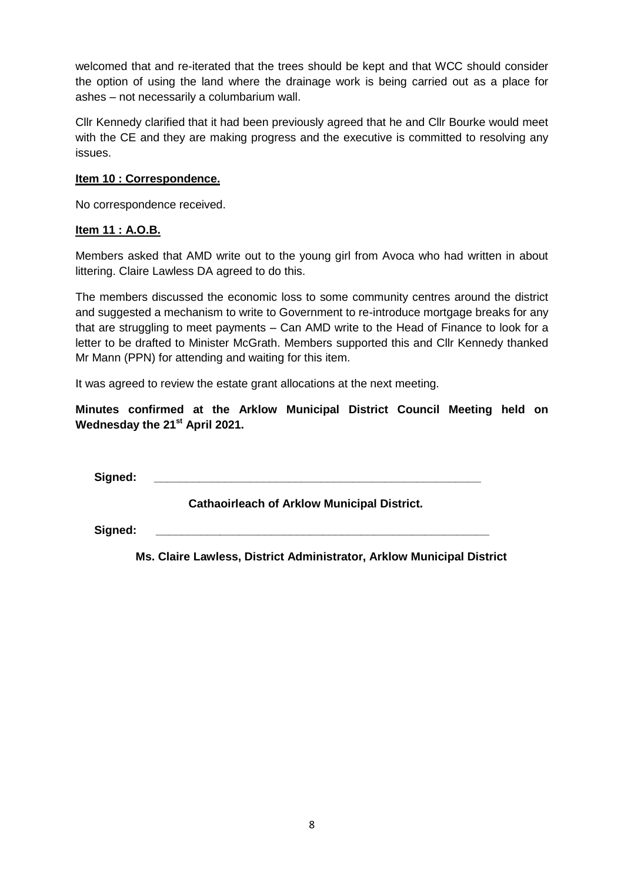welcomed that and re-iterated that the trees should be kept and that WCC should consider the option of using the land where the drainage work is being carried out as a place for ashes – not necessarily a columbarium wall.

Cllr Kennedy clarified that it had been previously agreed that he and Cllr Bourke would meet with the CE and they are making progress and the executive is committed to resolving any issues.

## **Item 10 : Correspondence.**

No correspondence received.

## **Item 11 : A.O.B.**

Members asked that AMD write out to the young girl from Avoca who had written in about littering. Claire Lawless DA agreed to do this.

The members discussed the economic loss to some community centres around the district and suggested a mechanism to write to Government to re-introduce mortgage breaks for any that are struggling to meet payments – Can AMD write to the Head of Finance to look for a letter to be drafted to Minister McGrath. Members supported this and Cllr Kennedy thanked Mr Mann (PPN) for attending and waiting for this item.

It was agreed to review the estate grant allocations at the next meeting.

**Minutes confirmed at the Arklow Municipal District Council Meeting held on Wednesday the 21st April 2021.**

 $Signed:$ 

**Cathaoirleach of Arklow Municipal District.**

Signed:

 **Ms. Claire Lawless, District Administrator, Arklow Municipal District**